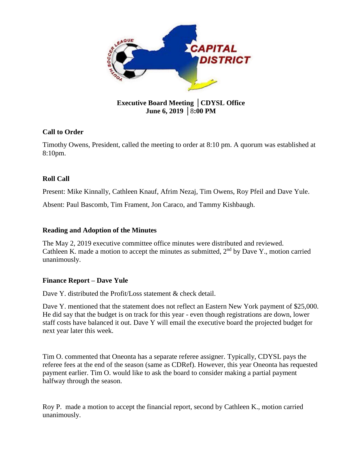

# **Executive Board Meeting** │**CDYSL Office June 6, 2019** │8**:00 PM**

## **Call to Order**

Timothy Owens, President, called the meeting to order at 8:10 pm. A quorum was established at 8:10pm.

# **Roll Call**

Present: Mike Kinnally, Cathleen Knauf, Afrim Nezaj, Tim Owens, Roy Pfeil and Dave Yule.

Absent: Paul Bascomb, Tim Frament, Jon Caraco, and Tammy Kishbaugh.

### **Reading and Adoption of the Minutes**

The May 2, 2019 executive committee office minutes were distributed and reviewed. Cathleen K. made a motion to accept the minutes as submitted,  $2<sup>nd</sup>$  by Dave Y., motion carried unanimously.

### **Finance Report – Dave Yule**

Dave Y. distributed the Profit/Loss statement & check detail.

Dave Y. mentioned that the statement does not reflect an Eastern New York payment of \$25,000. He did say that the budget is on track for this year - even though registrations are down, lower staff costs have balanced it out. Dave Y will email the executive board the projected budget for next year later this week.

Tim O. commented that Oneonta has a separate referee assigner. Typically, CDYSL pays the referee fees at the end of the season (same as CDRef). However, this year Oneonta has requested payment earlier. Tim O. would like to ask the board to consider making a partial payment halfway through the season.

Roy P. made a motion to accept the financial report, second by Cathleen K., motion carried unanimously.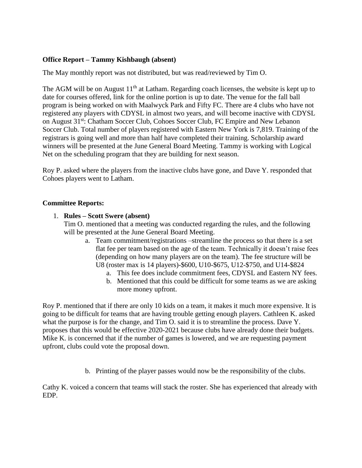### **Office Report – Tammy Kishbaugh (absent)**

The May monthly report was not distributed, but was read/reviewed by Tim O.

The AGM will be on August  $11<sup>th</sup>$  at Latham. Regarding coach licenses, the website is kept up to date for courses offered, link for the online portion is up to date. The venue for the fall ball program is being worked on with Maalwyck Park and Fifty FC. There are 4 clubs who have not registered any players with CDYSL in almost two years, and will become inactive with CDYSL on August 31st: Chatham Soccer Club, Cohoes Soccer Club, FC Empire and New Lebanon Soccer Club. Total number of players registered with Eastern New York is 7,819. Training of the registrars is going well and more than half have completed their training. Scholarship award winners will be presented at the June General Board Meeting. Tammy is working with Logical Net on the scheduling program that they are building for next season.

Roy P. asked where the players from the inactive clubs have gone, and Dave Y. responded that Cohoes players went to Latham.

### **Committee Reports:**

### 1. **Rules – Scott Swere (absent)**

Tim O. mentioned that a meeting was conducted regarding the rules, and the following will be presented at the June General Board Meeting.

- a. Team commitment/registrations –streamline the process so that there is a set flat fee per team based on the age of the team. Technically it doesn't raise fees (depending on how many players are on the team). The fee structure will be U8 (roster max is 14 players)-\$600, U10-\$675, U12-\$750, and U14-\$824
	- a. This fee does include commitment fees, CDYSL and Eastern NY fees.
	- b. Mentioned that this could be difficult for some teams as we are asking more money upfront.

Roy P. mentioned that if there are only 10 kids on a team, it makes it much more expensive. It is going to be difficult for teams that are having trouble getting enough players. Cathleen K. asked what the purpose is for the change, and Tim O. said it is to streamline the process. Dave Y. proposes that this would be effective 2020-2021 because clubs have already done their budgets. Mike K. is concerned that if the number of games is lowered, and we are requesting payment upfront, clubs could vote the proposal down.

b. Printing of the player passes would now be the responsibility of the clubs.

Cathy K. voiced a concern that teams will stack the roster. She has experienced that already with EDP.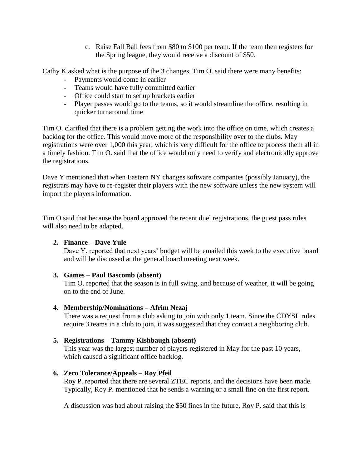c. Raise Fall Ball fees from \$80 to \$100 per team. If the team then registers for the Spring league, they would receive a discount of \$50.

Cathy K asked what is the purpose of the 3 changes. Tim O. said there were many benefits:

- Payments would come in earlier
- Teams would have fully committed earlier
- Office could start to set up brackets earlier
- Player passes would go to the teams, so it would streamline the office, resulting in quicker turnaround time

Tim O. clarified that there is a problem getting the work into the office on time, which creates a backlog for the office. This would move more of the responsibility over to the clubs. May registrations were over 1,000 this year, which is very difficult for the office to process them all in a timely fashion. Tim O. said that the office would only need to verify and electronically approve the registrations.

Dave Y mentioned that when Eastern NY changes software companies (possibly January), the registrars may have to re-register their players with the new software unless the new system will import the players information.

Tim O said that because the board approved the recent duel registrations, the guest pass rules will also need to be adapted.

### **2. Finance – Dave Yule**

Dave Y. reported that next years' budget will be emailed this week to the executive board and will be discussed at the general board meeting next week.

### **3. Games – Paul Bascomb (absent)**

Tim O. reported that the season is in full swing, and because of weather, it will be going on to the end of June.

### **4. Membership/Nominations – Afrim Nezaj**

There was a request from a club asking to join with only 1 team. Since the CDYSL rules require 3 teams in a club to join, it was suggested that they contact a neighboring club.

### **5. Registrations – Tammy Kishbaugh (absent)**

This year was the largest number of players registered in May for the past 10 years, which caused a significant office backlog.

### **6. Zero Tolerance/Appeals – Roy Pfeil**

Roy P. reported that there are several ZTEC reports, and the decisions have been made. Typically, Roy P. mentioned that he sends a warning or a small fine on the first report.

A discussion was had about raising the \$50 fines in the future, Roy P. said that this is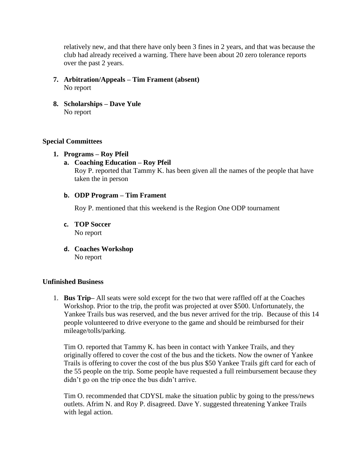relatively new, and that there have only been 3 fines in 2 years, and that was because the club had already received a warning. There have been about 20 zero tolerance reports over the past 2 years.

- **7. Arbitration/Appeals – Tim Frament (absent)** No report
- **8. Scholarships – Dave Yule**  No report

### **Special Committees**

- **1. Programs – Roy Pfeil**
	- **a. Coaching Education – Roy Pfeil**

Roy P. reported that Tammy K. has been given all the names of the people that have taken the in person

### **b. ODP Program – Tim Frament**

Roy P. mentioned that this weekend is the Region One ODP tournament

- **c. TOP Soccer** No report
- **d. Coaches Workshop** No report

### **Unfinished Business**

1. **Bus Trip–** All seats were sold except for the two that were raffled off at the Coaches Workshop. Prior to the trip, the profit was projected at over \$500. Unfortunately, the Yankee Trails bus was reserved, and the bus never arrived for the trip. Because of this 14 people volunteered to drive everyone to the game and should be reimbursed for their mileage/tolls/parking.

Tim O. reported that Tammy K. has been in contact with Yankee Trails, and they originally offered to cover the cost of the bus and the tickets. Now the owner of Yankee Trails is offering to cover the cost of the bus plus \$50 Yankee Trails gift card for each of the 55 people on the trip. Some people have requested a full reimbursement because they didn't go on the trip once the bus didn't arrive.

Tim O. recommended that CDYSL make the situation public by going to the press/news outlets. Afrim N. and Roy P. disagreed. Dave Y. suggested threatening Yankee Trails with legal action.